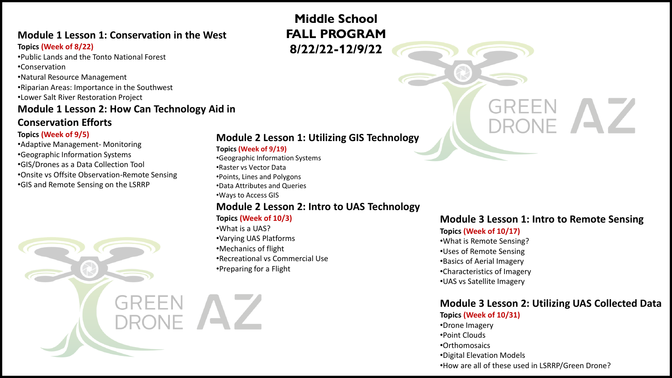# **Module 1 Lesson 1: Conservation in the West**

#### **Topics (Week of 8/22)**

- •Public Lands and the Tonto National Forest
- •Conservation
- •Natural Resource Management
- •Riparian Areas: Importance in the Southwest
- •Lower Salt River Restoration Project

# **Module 1 Lesson 2: How Can Technology Aid in**

# **Conservation Efforts**

### **Topics (Week of 9/5)**

- •Adaptive Management- Monitoring •Geographic Information Systems •GIS/Drones as a Data Collection Tool
- •Onsite vs Offsite Observation-Remote Sensing
- •GIS and Remote Sensing on the LSRRP

## **Module 2 Lesson 1: Utilizing GIS Technology**

#### **Topics (Week of 9/19)**

- •Geographic Information Systems
- •Raster vs Vector Data
- •Points, Lines and Polygons
- •Data Attributes and Queries
- •Ways to Access GIS

# **Module 2 Lesson 2: Intro to UAS Technology**

#### **Topics (Week of 10/3)**

•What is a UAS? •Varying UAS Platforms •Mechanics of flight •Recreational vs Commercial Use •Preparing for a Flight

## **Module 3 Lesson 1: Intro to Remote Sensing**

### **Topics (Week of 10/17)**

- •What is Remote Sensing?
- •Uses of Remote Sensing
- •Basics of Aerial Imagery
- •Characteristics of Imagery
- •UAS vs Satellite Imagery

#### **Module 3 Lesson 2: Utilizing UAS Collected Data Topics (Week of 10/31)**

#### •Drone Imagery •Point Clouds •Orthomosaics •Digital Elevation Models •How are all of these used in LSRRP/Green Drone?

# **Middle School FALL PROGRAM 8/22/22-12/9/22**